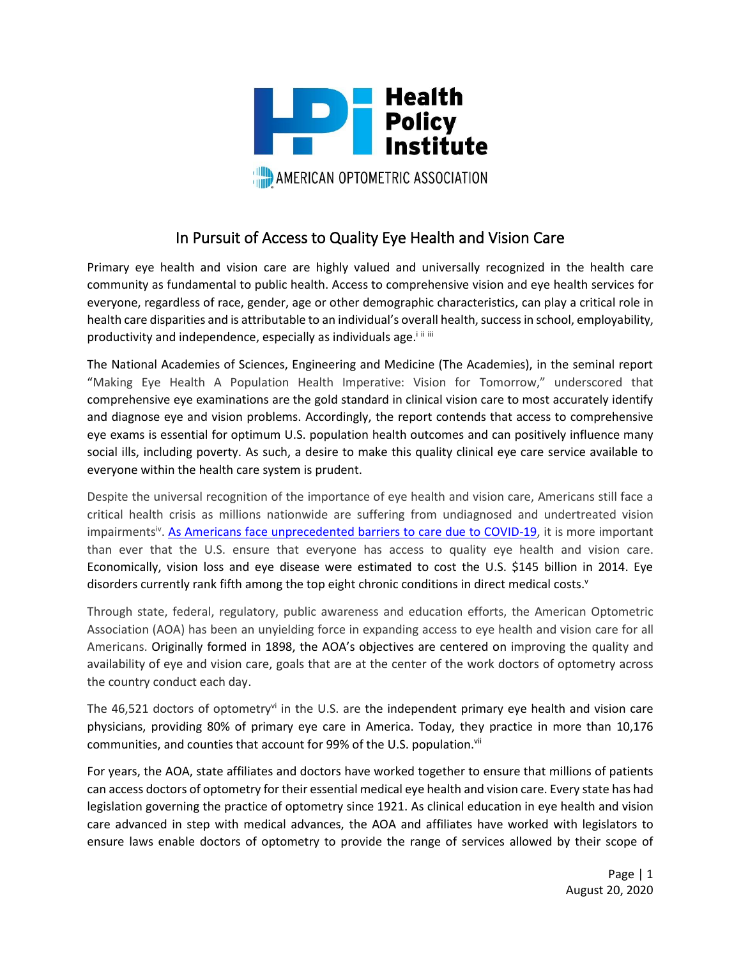

## In Pursuit of Access to Quality Eye Health and Vision Care

Primary eye health and vision care are highly valued and universally recognized in the health care community as fundamental to public health. Access to comprehensive vision and eye health services for everyone, regardless of race, gender, age or other demographic characteristics, can play a critical role in health care disparities and is attributable to an individual's overall health, success in school, employability, productivity and independence, especially as individuals age.<sup>inin</sup>

The National Academies of Sciences, Engineering and Medicine (The Academies), in the seminal report "Making Eye Health A Population Health Imperative: Vision for Tomorrow," underscored that comprehensive eye examinations are the gold standard in clinical vision care to most accurately identify and diagnose eye and vision problems. Accordingly, the report contends that access to comprehensive eye exams is essential for optimum U.S. population health outcomes and can positively influence many social ills, including poverty. As such, a desire to make this quality clinical eye care service available to everyone within the health care system is prudent.

Despite the universal recognition of the importance of eye health and vision care, Americans still face a critical health crisis as millions nationwide are suffering from undiagnosed and undertreated vision impairments<sup>iv</sup>. [As Americans face unprecedented barriers to care due to COVID-19,](https://www.usnews.com/news/healthiest-communities/articles/2020-08-04/coronavirus-threatens-to-deepen-racial-disparities-in-dental-health) it is more important than ever that the U.S. ensure that everyone has access to quality eye health and vision care. Economically, vision loss and eye disease were estimated to cost the U.S. \$145 billion in 2014. Eye disorders currently rank fifth among the top eight chronic conditions in direct medical costs.<sup>v</sup>

Through state, federal, regulatory, public awareness and education efforts, the American Optometric Association (AOA) has been an unyielding force in expanding access to eye health and vision care for all Americans. Originally formed in 1898, the AOA's objectives are centered on improving the quality and availability of eye and vision care, goals that are at the center of the work doctors of optometry across the country conduct each day.

The 46,521 doctors of optometryvi in the U.S. are the independent primary eye health and vision care physicians, providing 80% of primary eye care in America. Today, they practice in more than 10,176 communities, and counties that account for 99% of the U.S. population.<sup>vii</sup>

For years, the AOA, state affiliates and doctors have worked together to ensure that millions of patients can access doctors of optometry for their essential medical eye health and vision care. Every state has had legislation governing the practice of optometry since 1921. As clinical education in eye health and vision care advanced in step with medical advances, the AOA and affiliates have worked with legislators to ensure laws enable doctors of optometry to provide the range of services allowed by their scope of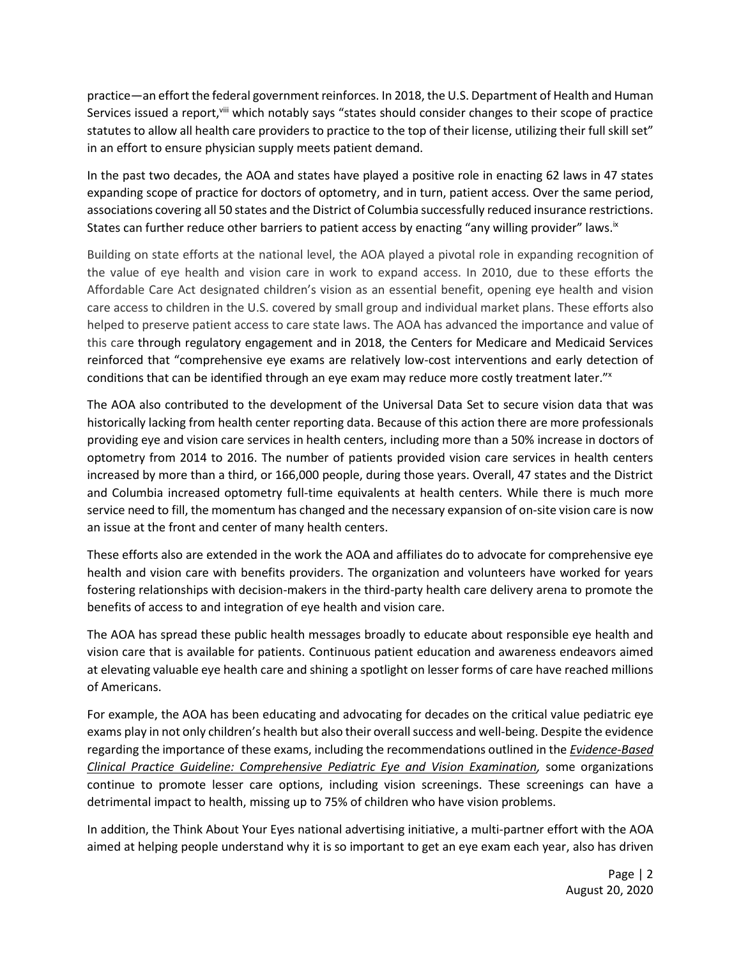practice—an effort the federal government reinforces. In 2018, the U.S. Department of Health and Human Services issued a report, <sup>viii</sup> which notably says "states should consider changes to their scope of practice statutes to allow all health care providers to practice to the top of their license, utilizing their full skill set" in an effort to ensure physician supply meets patient demand.

In the past two decades, the AOA and states have played a positive role in enacting 62 laws in 47 states expanding scope of practice for doctors of optometry, and in turn, patient access. Over the same period, associations covering all 50 states and the District of Columbia successfully reduced insurance restrictions. States can further reduce other barriers to patient access by enacting "any willing provider" laws.<sup>ix</sup>

Building on state efforts at the national level, the AOA played a pivotal role in expanding recognition of the value of eye health and vision care in work to expand access. In 2010, due to these efforts the Affordable Care Act designated children's vision as an essential benefit, opening eye health and vision care access to children in the U.S. covered by small group and individual market plans. These efforts also helped to preserve patient access to care state laws. The AOA has advanced the importance and value of this care through regulatory engagement and in 2018, the Centers for Medicare and Medicaid Services reinforced that "comprehensive eye exams are relatively low-cost interventions and early detection of conditions that can be identified through an eye exam may reduce more costly treatment later."x

The AOA also contributed to the development of the Universal Data Set to secure vision data that was historically lacking from health center reporting data. Because of this action there are more professionals providing eye and vision care services in health centers, including more than a 50% increase in doctors of optometry from 2014 to 2016. The number of patients provided vision care services in health centers increased by more than a third, or 166,000 people, during those years. Overall, 47 states and the District and Columbia increased optometry full-time equivalents at health centers. While there is much more service need to fill, the momentum has changed and the necessary expansion of on-site vision care is now an issue at the front and center of many health centers.

These efforts also are extended in the work the AOA and affiliates do to advocate for comprehensive eye health and vision care with benefits providers. The organization and volunteers have worked for years fostering relationships with decision-makers in the third-party health care delivery arena to promote the benefits of access to and integration of eye health and vision care.

The AOA has spread these public health messages broadly to educate about responsible eye health and vision care that is available for patients. Continuous patient education and awareness endeavors aimed at elevating valuable eye health care and shining a spotlight on lesser forms of care have reached millions of Americans.

For example, the AOA has been educating and advocating for decades on the critical value pediatric eye exams play in not only children's health but also their overall success and well-being. Despite the evidence regarding the importance of these exams, including the recommendations outlined in the *[Evidence-Based](http://aoa.uberflip.com/i/807465-cpg-pediatric-eye-and-vision-examination)  [Clinical Practice Guideline: Comprehensive Pediatric Eye and Vision Examination,](http://aoa.uberflip.com/i/807465-cpg-pediatric-eye-and-vision-examination)* some organizations continue to promote lesser care options, including vision screenings. These screenings can have a detrimental impact to health, missing up to 75% of children who have vision problems.

In addition, the Think About Your Eyes national advertising initiative, a multi-partner effort with the AOA aimed at helping people understand why it is so important to get an eye exam each year, also has driven